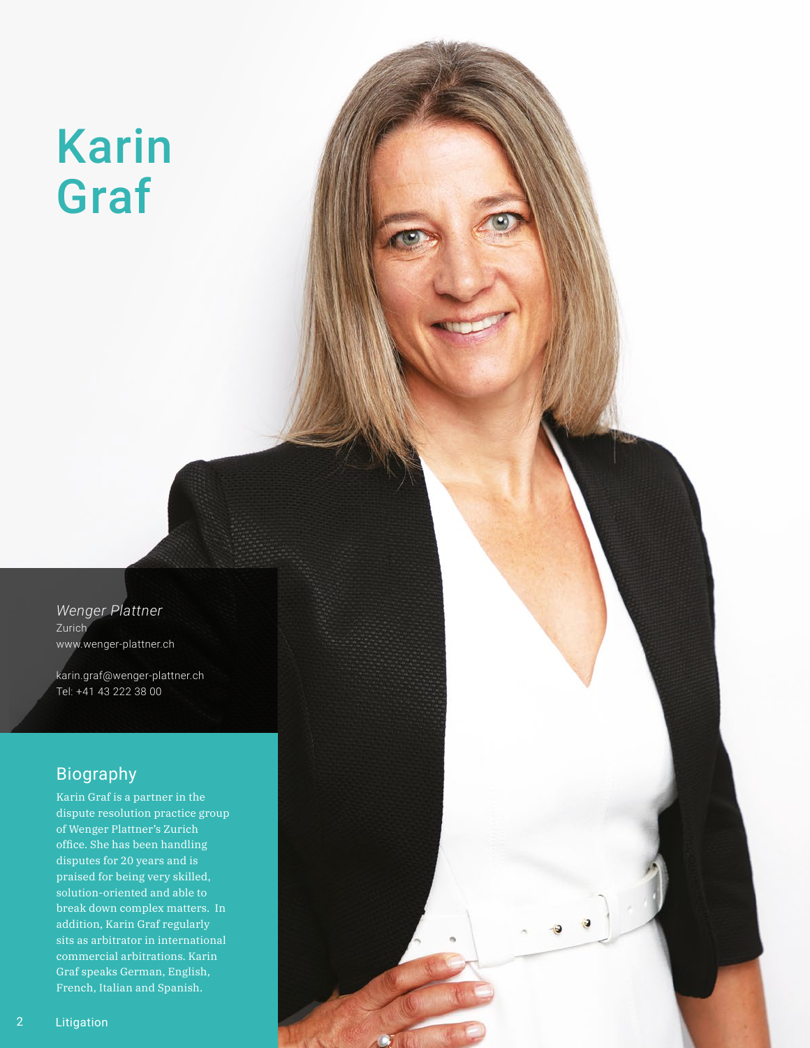# Karin Graf

*Wenger Plattner*  Zurich www.wenger-plattner.ch

karin.graf@wenger-plattner.ch Tel: +41 43 222 38 00

# Biography

Karin Graf is a partner in the dispute resolution practice group of Wenger Plattner's Zurich office. She has been handling disputes for 20 years and is praised for being very skilled, solution-oriented and able to break down complex matters. In addition, Karin Graf regularly sits as arbitrator in international commercial arbitrations. Karin Graf speaks German, English, French, Italian and Spanish.